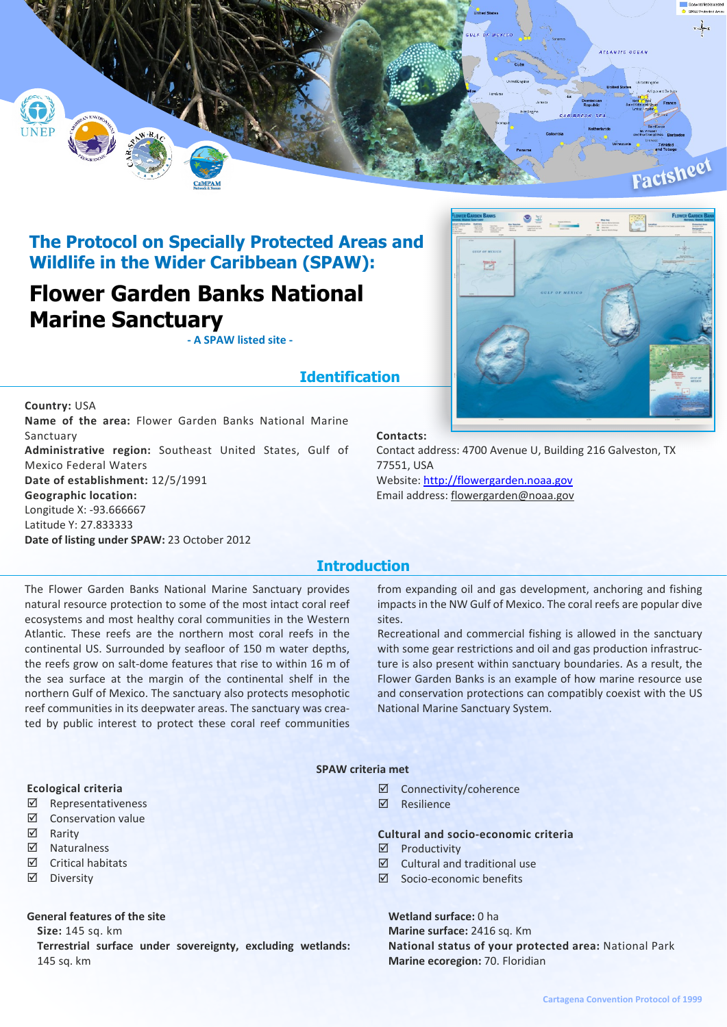

# **The Protocol on Specially Protected Areas and Wildlife in the Wider Caribbean (SPAW):**

# **Flower Garden Banks National Marine Sanctuary**

**- A SPAW listed site -**

## **Identification**

**Country:** USA **Name of the area:** Flower Garden Banks National Marine Sanctuary **Administrative region:** Southeast United States, Gulf of Mexico Federal Waters **Date of establishment:** 12/5/1991 **Geographic location:** Longitude X: -93.666667 Latitude Y: 27.833333 **Date of listing under SPAW:** 23 October 2012



#### **Contacts:**

Contact address: 4700 Avenue U, Building 216 Galveston, TX 77551, USA Website: <http://flowergarden.noaa.gov> Email address: flowergarden@noaa.gov

### **Introduction**

The Flower Garden Banks National Marine Sanctuary provides natural resource protection to some of the most intact coral reef ecosystems and most healthy coral communities in the Western Atlantic. These reefs are the northern most coral reefs in the continental US. Surrounded by seafloor of 150 m water depths, the reefs grow on salt-dome features that rise to within 16 m of the sea surface at the margin of the continental shelf in the northern Gulf of Mexico. The sanctuary also protects mesophotic reef communities in its deepwater areas. The sanctuary was created by public interest to protect these coral reef communities

from expanding oil and gas development, anchoring and fishing impacts in the NW Gulf of Mexico. The coral reefs are popular dive sites.

Recreational and commercial fishing is allowed in the sanctuary with some gear restrictions and oil and gas production infrastructure is also present within sanctuary boundaries. As a result, the Flower Garden Banks is an example of how marine resource use and conservation protections can compatibly coexist with the US National Marine Sanctuary System.

#### **SPAW criteria met**

- ˛ Connectivity/coherence
- ˛ Resilience

### **Cultural and socio-economic criteria**

- $\nabla$  Productivity
- $\boxtimes$  Cultural and traditional use
- ˛ Socio-economic benefits

#### **Wetland surface:** 0 ha

**Marine surface:** 2416 sq. Km **National status of your protected area:** National Park **Marine ecoregion:** 70. Floridian

#### **Ecological criteria**

- ˛ Representativeness
- ˛ Conservation value
- **☑** Rarity
- ˛ Naturalness
- ˛ Critical habitats
- ˛ Diversity

#### **General features of the site**

**Size:** 145 sq. km

**Terrestrial surface under sovereignty, excluding wetlands:** 145 sq. km